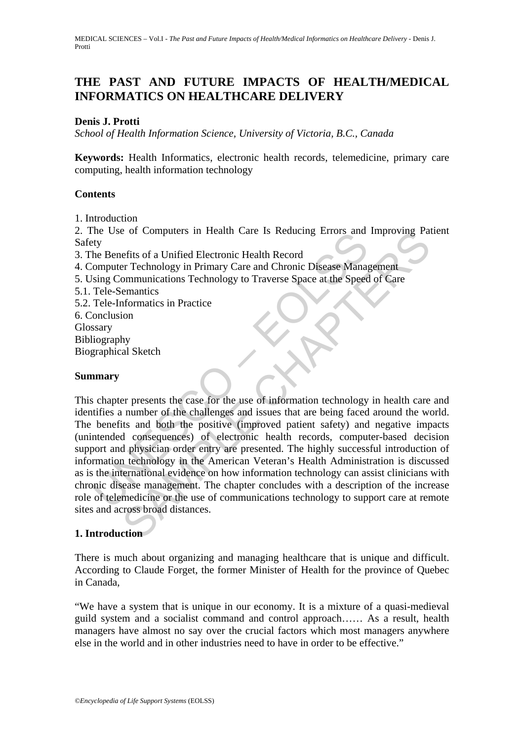MEDICAL SCIENCES – Vol.I - *The Past and Future Impacts of Health/Medical Informatics on Healthcare Delivery* - Denis J. Protti

# **THE PAST AND FUTURE IMPACTS OF HEALTH/MEDICAL INFORMATICS ON HEALTHCARE DELIVERY**

## **Denis J. Protti**

*School of Health Information Science, University of Victoria, B.C., Canada* 

**Keywords:** Health Informatics, electronic health records, telemedicine, primary care computing, health information technology

### **Contents**

1. Introduction

2. The Use of Computers in Health Care Is Reducing Errors and Improving Patient Safety

- 3. The Benefits of a Unified Electronic Health Record
- 4. Computer Technology in Primary Care and Chronic Disease Management
- 5. Using Communications Technology to Traverse Space at the Speed of Care
- 5.1. Tele-Semantics
- 5.2. Tele-Informatics in Practice
- 6. Conclusion **Glossary**

Bibliography

Biographical Sketch

### **Summary**

The Use of Complues in Freamth Care is Reducing Errors and<br>
ty<br>
ty<br>
the Benefits of a Unified Electronic Health Record<br>
Computer Technology in Primary Care and Chronic Disease Manag<br>
sing Communications Technology to Trave For Computers in Health Care is reducing Errors and improving Paractitis of a Unified Electronic Health Record<br>
Fits of a Unified Electronic Health Record<br>
ernations Technology to Traverse Space at the Speed of Care<br>
ernan This chapter presents the case for the use of information technology in health care and identifies a number of the challenges and issues that are being faced around the world. The benefits and both the positive (improved patient safety) and negative impacts (unintended consequences) of electronic health records, computer-based decision support and physician order entry are presented. The highly successful introduction of information technology in the American Veteran's Health Administration is discussed as is the international evidence on how information technology can assist clinicians with chronic disease management. The chapter concludes with a description of the increase role of telemedicine or the use of communications technology to support care at remote sites and across broad distances.

### **1. Introduction**

There is much about organizing and managing healthcare that is unique and difficult. According to Claude Forget, the former Minister of Health for the province of Quebec in Canada,

"We have a system that is unique in our economy. It is a mixture of a quasi-medieval guild system and a socialist command and control approach…… As a result, health managers have almost no say over the crucial factors which most managers anywhere else in the world and in other industries need to have in order to be effective."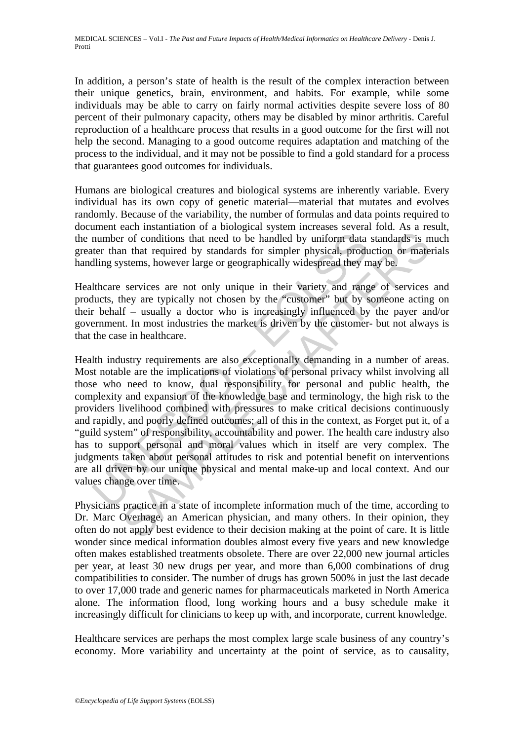In addition, a person's state of health is the result of the complex interaction between their unique genetics, brain, environment, and habits. For example, while some individuals may be able to carry on fairly normal activities despite severe loss of 80 percent of their pulmonary capacity, others may be disabled by minor arthritis. Careful reproduction of a healthcare process that results in a good outcome for the first will not help the second. Managing to a good outcome requires adaptation and matching of the process to the individual, and it may not be possible to find a gold standard for a process that guarantees good outcomes for individuals.

Humans are biological creatures and biological systems are inherently variable. Every individual has its own copy of genetic material—material that mutates and evolves randomly. Because of the variability, the number of formulas and data points required to document each instantiation of a biological system increases several fold. As a result, the number of conditions that need to be handled by uniform data standards is much greater than that required by standards for simpler physical, production or materials handling systems, however large or geographically widespread they may be.

Healthcare services are not only unique in their variety and range of services and products, they are typically not chosen by the "customer" but by someone acting on their behalf – usually a doctor who is increasingly influenced by the payer and/or government. In most industries the market is driven by the customer- but not always is that the case in healthcare.

number of conditions that need to be handled by uniform data<br>ter than that required by standards for simpler physical, produ<br>lling systems, however large or geographically widespread they n<br>thcare services are not only uni r of conditions that need to be handled by uniform data standards is n that required by standards for simpler physical, production or mate stems, however large or geographically widespread they may be.<br>Services are not onl Health industry requirements are also exceptionally demanding in a number of areas. Most notable are the implications of violations of personal privacy whilst involving all those who need to know, dual responsibility for personal and public health, the complexity and expansion of the knowledge base and terminology, the high risk to the providers livelihood combined with pressures to make critical decisions continuously and rapidly, and poorly defined outcomes; all of this in the context, as Forget put it, of a "guild system" of responsibility, accountability and power. The health care industry also has to support personal and moral values which in itself are very complex. The judgments taken about personal attitudes to risk and potential benefit on interventions are all driven by our unique physical and mental make-up and local context. And our values change over time.

Physicians practice in a state of incomplete information much of the time, according to Dr. Marc Overhage, an American physician, and many others. In their opinion, they often do not apply best evidence to their decision making at the point of care. It is little wonder since medical information doubles almost every five years and new knowledge often makes established treatments obsolete. There are over 22,000 new journal articles per year, at least 30 new drugs per year, and more than 6,000 combinations of drug compatibilities to consider. The number of drugs has grown 500% in just the last decade to over 17,000 trade and generic names for pharmaceuticals marketed in North America alone. The information flood, long working hours and a busy schedule make it increasingly difficult for clinicians to keep up with, and incorporate, current knowledge.

Healthcare services are perhaps the most complex large scale business of any country's economy. More variability and uncertainty at the point of service, as to causality,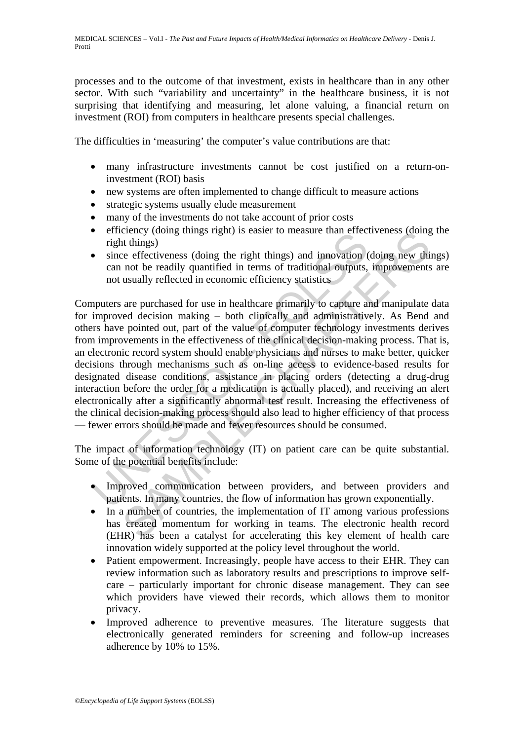processes and to the outcome of that investment, exists in healthcare than in any other sector. With such "variability and uncertainty" in the healthcare business, it is not surprising that identifying and measuring, let alone valuing, a financial return on investment (ROI) from computers in healthcare presents special challenges.

The difficulties in 'measuring' the computer's value contributions are that:

- many infrastructure investments cannot be cost justified on a return-oninvestment (ROI) basis
- new systems are often implemented to change difficult to measure actions
- strategic systems usually elude measurement
- many of the investments do not take account of prior costs
- efficiency (doing things right) is easier to measure than effectiveness (doing the right things)
- since effectiveness (doing the right things) and innovation (doing new things) can not be readily quantified in terms of traditional outputs, improvements are not usually reflected in economic efficiency statistics

Figure (doing unigs right) is easier to measure than errect<br>
right things)<br>
ince effectiveness (doing the right things) and innovation<br>
can not be readily quantified in terms of traditional outputs,<br>
not usually reflected chency (dong unings rignt) is easier to measure than effectiveness (doing<br>the things)<br>the right things) and innovation (doing new thin<br>things)<br>reflected in economic efficiency statistics<br>are purchased for use in healthcare Computers are purchased for use in healthcare primarily to capture and manipulate data for improved decision making – both clinically and administratively. As Bend and others have pointed out, part of the value of computer technology investments derives from improvements in the effectiveness of the clinical decision-making process. That is, an electronic record system should enable physicians and nurses to make better, quicker decisions through mechanisms such as on-line access to evidence-based results for designated disease conditions, assistance in placing orders (detecting a drug-drug interaction before the order for a medication is actually placed), and receiving an alert electronically after a significantly abnormal test result. Increasing the effectiveness of the clinical decision-making process should also lead to higher efficiency of that process — fewer errors should be made and fewer resources should be consumed.

The impact of information technology (IT) on patient care can be quite substantial. Some of the potential benefits include:

- Improved communication between providers, and between providers and patients. In many countries, the flow of information has grown exponentially.
- In a number of countries, the implementation of IT among various professions has created momentum for working in teams. The electronic health record (EHR) has been a catalyst for accelerating this key element of health care innovation widely supported at the policy level throughout the world.
- Patient empowerment. Increasingly, people have access to their EHR. They can review information such as laboratory results and prescriptions to improve selfcare – particularly important for chronic disease management. They can see which providers have viewed their records, which allows them to monitor privacy.
- Improved adherence to preventive measures. The literature suggests that electronically generated reminders for screening and follow-up increases adherence by 10% to 15%.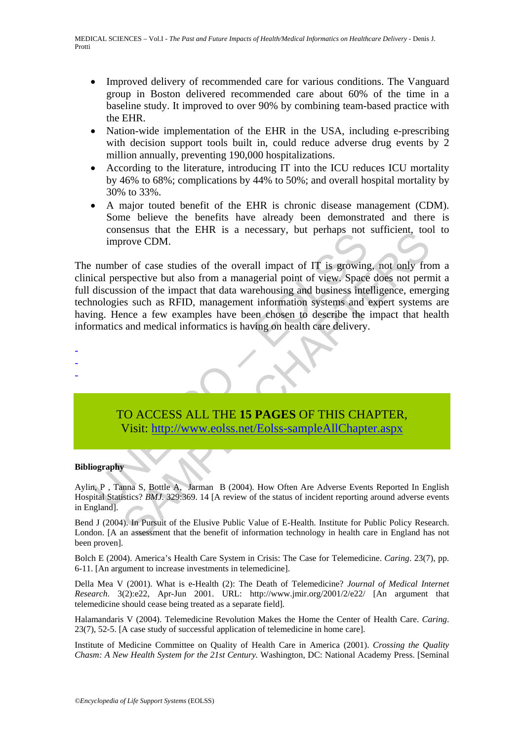- Improved delivery of recommended care for various conditions. The Vanguard group in Boston delivered recommended care about 60% of the time in a baseline study. It improved to over 90% by combining team-based practice with the EHR.
- Nation-wide implementation of the EHR in the USA, including e-prescribing with decision support tools built in, could reduce adverse drug events by 2 million annually, preventing 190,000 hospitalizations.
- According to the literature, introducing IT into the ICU reduces ICU mortality by 46% to 68%; complications by 44% to 50%; and overall hospital mortality by 30% to 33%.
- A major touted benefit of the EHR is chronic disease management (CDM). Some believe the benefits have already been demonstrated and there is consensus that the EHR is a necessary, but perhaps not sufficient, tool to improve CDM.

consists that the EThR is a necessary, our perhaps not<br>improve CDM.<br>number of case studies of the overall impact of IT is growing<br>discussion of the impact that data warehousing and business inter-<br>information systems and<br>i SEINSING THAT IS a necessary, but perhaps not surficient, to<br>strong CDM.<br>The province CDM is a necessary, but perhaps not surface that the origins of the surface but also from a managerial point of view. Space does not per The number of case studies of the overall impact of IT is growing, not only from a clinical perspective but also from a managerial point of view. Space does not permit a full discussion of the impact that data warehousing and business intelligence, emerging technologies such as RFID, management information systems and expert systems are having. Hence a few examples have been chosen to describe the impact that health informatics and medical informatics is having on health care delivery.

TO ACCESS ALL THE **15 PAGES** OF THIS CHAPTER, Visit: http://www.eolss.net/Eolss-sampleAllChapter.aspx

#### **Bibliography**

- - -

Aylin, P , Tanna S, Bottle A, Jarman B (2004). How Often Are Adverse Events Reported In English Hospital Statistics? *BMJ*. 329:369. 14 [A review of the status of incident reporting around adverse events in England].

Bend J (2004). In Pursuit of the Elusive Public Value of E-Health. Institute for Public Policy Research. London. [A an assessment that the benefit of information technology in health care in England has not been proven].

Bolch E (2004). America's Health Care System in Crisis: The Case for Telemedicine. *Caring*. 23(7), pp. 6-11. [An argument to increase investments in telemedicine].

Della Mea V (2001). What is e-Health (2): The Death of Telemedicine? *Journal of Medical Internet Research*. 3(2):e22, Apr-Jun 2001. URL: http://www.jmir.org/2001/2/e22/ [An argument that telemedicine should cease being treated as a separate field].

Halamandaris V (2004). Telemedicine Revolution Makes the Home the Center of Health Care. *Caring*. 23(7), 52-5. [A case study of successful application of telemedicine in home care].

Institute of Medicine Committee on Quality of Health Care in America (2001). *Crossing the Quality Chasm: A New Health System for the 21st Century.* Washington, DC: National Academy Press. [Seminal